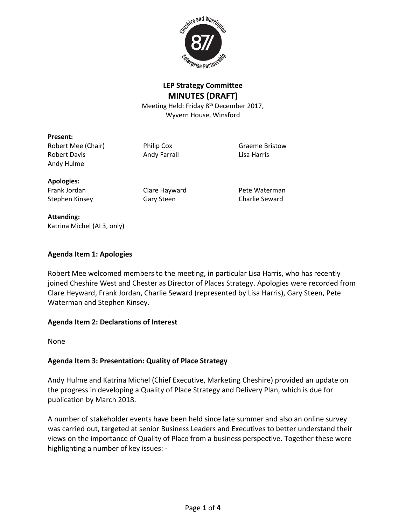

## **LEP Strategy Committee MINUTES (DRAFT)**

Meeting Held: Friday 8<sup>th</sup> December 2017, Wyvern House, Winsford

#### **Present:**

Robert Mee (Chair) **Philip Cox** Graeme Bristow Robert Davis **Andy Farrall** Communist Robert Davis Andy Hulme

#### **Apologies:**

Frank Jordan Clare Hayward Pete Waterman Stephen Kinsey **Gary Steen** Charlie Seward

#### **Attending:**

Katrina Michel (AI 3, only)

### **Agenda Item 1: Apologies**

Robert Mee welcomed members to the meeting, in particular Lisa Harris, who has recently joined Cheshire West and Chester as Director of Places Strategy. Apologies were recorded from Clare Heyward, Frank Jordan, Charlie Seward (represented by Lisa Harris), Gary Steen, Pete Waterman and Stephen Kinsey.

### **Agenda Item 2: Declarations of Interest**

None

### **Agenda Item 3: Presentation: Quality of Place Strategy**

Andy Hulme and Katrina Michel (Chief Executive, Marketing Cheshire) provided an update on the progress in developing a Quality of Place Strategy and Delivery Plan, which is due for publication by March 2018.

A number of stakeholder events have been held since late summer and also an online survey was carried out, targeted at senior Business Leaders and Executives to better understand their views on the importance of Quality of Place from a business perspective. Together these were highlighting a number of key issues: -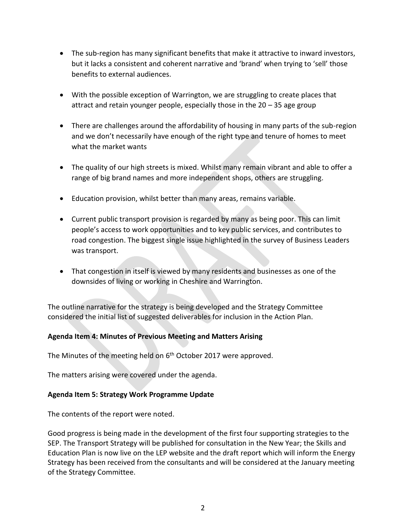- The sub-region has many significant benefits that make it attractive to inward investors, but it lacks a consistent and coherent narrative and 'brand' when trying to 'sell' those benefits to external audiences.
- With the possible exception of Warrington, we are struggling to create places that attract and retain younger people, especially those in the 20 – 35 age group
- There are challenges around the affordability of housing in many parts of the sub-region and we don't necessarily have enough of the right type and tenure of homes to meet what the market wants
- The quality of our high streets is mixed. Whilst many remain vibrant and able to offer a range of big brand names and more independent shops, others are struggling.
- Education provision, whilst better than many areas, remains variable.
- Current public transport provision is regarded by many as being poor. This can limit people's access to work opportunities and to key public services, and contributes to road congestion. The biggest single issue highlighted in the survey of Business Leaders was transport.
- That congestion in itself is viewed by many residents and businesses as one of the downsides of living or working in Cheshire and Warrington.

The outline narrative for the strategy is being developed and the Strategy Committee considered the initial list of suggested deliverables for inclusion in the Action Plan.

### **Agenda Item 4: Minutes of Previous Meeting and Matters Arising**

The Minutes of the meeting held on 6<sup>th</sup> October 2017 were approved.

The matters arising were covered under the agenda.

#### **Agenda Item 5: Strategy Work Programme Update**

The contents of the report were noted.

Good progress is being made in the development of the first four supporting strategies to the SEP. The Transport Strategy will be published for consultation in the New Year; the Skills and Education Plan is now live on the LEP website and the draft report which will inform the Energy Strategy has been received from the consultants and will be considered at the January meeting of the Strategy Committee.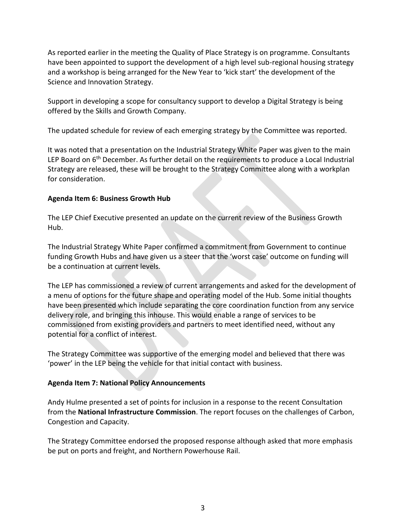As reported earlier in the meeting the Quality of Place Strategy is on programme. Consultants have been appointed to support the development of a high level sub-regional housing strategy and a workshop is being arranged for the New Year to 'kick start' the development of the Science and Innovation Strategy.

Support in developing a scope for consultancy support to develop a Digital Strategy is being offered by the Skills and Growth Company.

The updated schedule for review of each emerging strategy by the Committee was reported.

It was noted that a presentation on the Industrial Strategy White Paper was given to the main LEP Board on 6<sup>th</sup> December. As further detail on the requirements to produce a Local Industrial Strategy are released, these will be brought to the Strategy Committee along with a workplan for consideration.

### **Agenda Item 6: Business Growth Hub**

The LEP Chief Executive presented an update on the current review of the Business Growth Hub.

The Industrial Strategy White Paper confirmed a commitment from Government to continue funding Growth Hubs and have given us a steer that the 'worst case' outcome on funding will be a continuation at current levels.

The LEP has commissioned a review of current arrangements and asked for the development of a menu of options for the future shape and operating model of the Hub. Some initial thoughts have been presented which include separating the core coordination function from any service delivery role, and bringing this inhouse. This would enable a range of services to be commissioned from existing providers and partners to meet identified need, without any potential for a conflict of interest.

The Strategy Committee was supportive of the emerging model and believed that there was 'power' in the LEP being the vehicle for that initial contact with business.

# **Agenda Item 7: National Policy Announcements**

Andy Hulme presented a set of points for inclusion in a response to the recent Consultation from the **National Infrastructure Commission**. The report focuses on the challenges of Carbon, Congestion and Capacity.

The Strategy Committee endorsed the proposed response although asked that more emphasis be put on ports and freight, and Northern Powerhouse Rail.